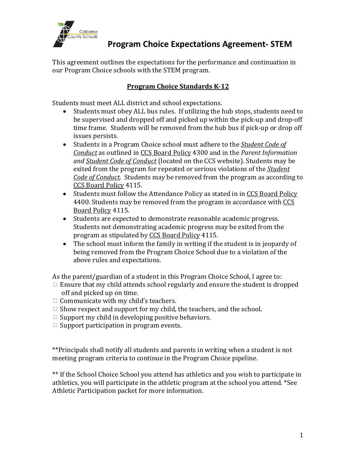

This agreement outlines the expectations for the performance and continuation in our Program Choice schools with the STEM program.

## **Program Choice Standards K-12**

Students must meet ALL district and school expectations.

- Students must obey ALL bus rules. If utilizing the hub stops, students need to be supervised and dropped off and picked up within the pick-up and drop-off time frame. Students will be removed from the hub bus if pick-up or drop off issues persists.
- Students in a Program Choice school must adhere to the *Student Code of Conduct* as outlined in CCS Board Policy 4300 and in the *Parent Information* and *Student Code of Conduct* (located on the CCS website). Students may be exited from the program for repeated or serious violations of the **Student** *Code of Conduct.* Students may be removed from the program as according to CCS Board Policy 4115.
- Students must follow the Attendance Policy as stated in in CCS Board Policy 4400. Students may be removed from the program in accordance with CCS Board Policy 4115.
- Students are expected to demonstrate reasonable academic progress. Students not demonstrating academic progress may be exited from the program as stipulated by CCS Board Policy 4115.
- The school must inform the family in writing if the student is in jeopardy of being removed from the Program Choice School due to a violation of the above rules and expectations.

As the parent/guardian of a student in this Program Choice School, I agree to:

- $\Box$  Ensure that my child attends school regularly and ensure the student is dropped off and picked up on time.
- $\Box$  Communicate with my child's teachers.
- $\Box$  Show respect and support for my child, the teachers, and the school.
- $\Box$  Support my child in developing positive behaviors.
- $\Box$  Support participation in program events.

\*\*Principals shall notify all students and parents in writing when a student is not meeting program criteria to continue in the Program Choice pipeline.

\*\* If the School Choice School you attend has athletics and you wish to participate in athletics, you will participate in the athletic program at the school you attend. \*See Athletic Participation packet for more information.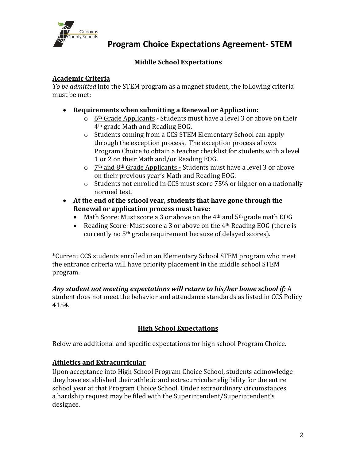

# **Middle School Expectations**

## **Academic Criteria**

*To be admitted* into the STEM program as a magnet student, the following criteria must be met:

- Requirements when submitting a Renewal or Application:
	- $\circ$  6<sup>th</sup> Grade Applicants Students must have a level 3 or above on their 4<sup>th</sup> grade Math and Reading EOG.
	- $\circ$  Students coming from a CCS STEM Elementary School can apply through the exception process. The exception process allows Program Choice to obtain a teacher checklist for students with a level 1 or 2 on their Math and/or Reading EOG.
	- $\circ$  7<sup>th</sup> and 8<sup>th</sup> Grade Applicants Students must have a level 3 or above on their previous year's Math and Reading EOG.
	- $\circ$  Students not enrolled in CCS must score 75% or higher on a nationally normed test.
- At the end of the school year, students that have gone through the **Renewal or application process must have:** 
	- Math Score: Must score a 3 or above on the  $4<sup>th</sup>$  and  $5<sup>th</sup>$  grade math EOG
	- Reading Score: Must score a 3 or above on the  $4<sup>th</sup>$  Reading EOG (there is currently no 5<sup>th</sup> grade requirement because of delayed scores).

\*Current CCS students enrolled in an Elementary School STEM program who meet the entrance criteria will have priority placement in the middle school STEM program.

#### Any student not meeting expectations will return to his/her home school if: A student does not meet the behavior and attendance standards as listed in CCS Policy

4154. 

# **High School Expectations**

Below are additional and specific expectations for high school Program Choice.

## **Athletics and Extracurricular**

Upon acceptance into High School Program Choice School, students acknowledge they have established their athletic and extracurricular eligibility for the entire school year at that Program Choice School. Under extraordinary circumstances a hardship request may be filed with the Superintendent/Superintendent's designee.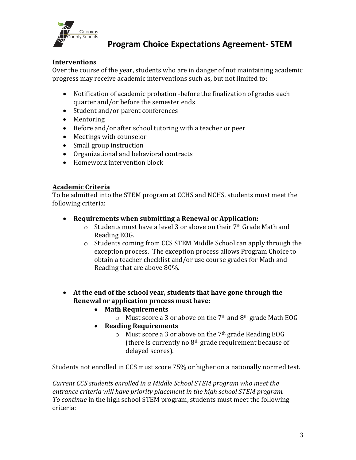

### **Interventions**

Over the course of the year, students who are in danger of not maintaining academic progress may receive academic interventions such as, but not limited to:

- Notification of academic probation -before the finalization of grades each quarter and/or before the semester ends
- Student and/or parent conferences
- Mentoring
- Before and/or after school tutoring with a teacher or peer
- Meetings with counselor
- Small group instruction
- Organizational and behavioral contracts
- Homework intervention block

#### **Academic Criteria**

To be admitted into the STEM program at CCHS and NCHS, students must meet the following criteria:

#### • Requirements when submitting a Renewal or Application:

- $\circ$  Students must have a level 3 or above on their 7<sup>th</sup> Grade Math and Reading EOG.
- $\circ$  Students coming from CCS STEM Middle School can apply through the exception process. The exception process allows Program Choice to obtain a teacher checklist and/or use course grades for Math and Reading that are above 80%.
- At the end of the school year, students that have gone through the **Renewal or application process must have:** 
	- **Math Requirements**
		- $\circ$  Must score a 3 or above on the 7<sup>th</sup> and 8<sup>th</sup> grade Math EOG
	- **Reading Requirements**
		- $\circ$  Must score a 3 or above on the 7<sup>th</sup> grade Reading EOG (there is currently no  $8<sup>th</sup>$  grade requirement because of delayed scores).

Students not enrolled in CCS must score 75% or higher on a nationally normed test.

*Current CCS students enrolled in a Middle School STEM program who meet the* entrance criteria will have priority placement in the high school STEM program. *To continue* in the high school STEM program, students must meet the following criteria: